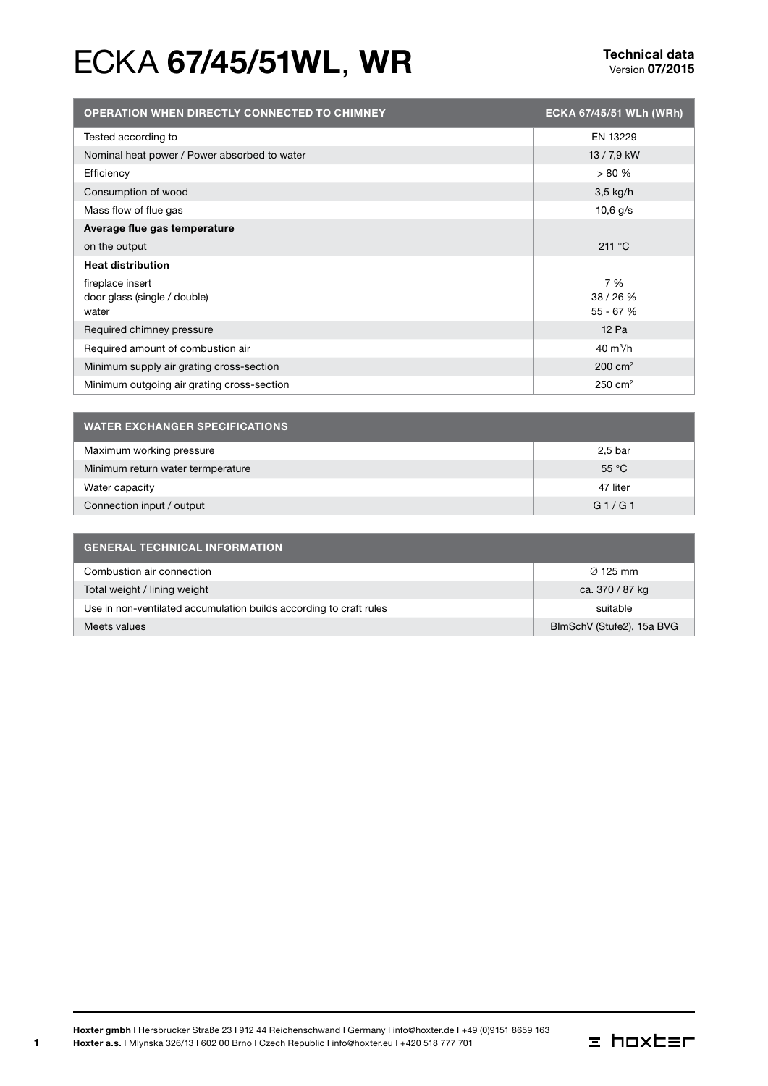# ECKA 67/45/51WL, WR<br>
Version 07/2015

| <b>OPERATION WHEN DIRECTLY CONNECTED TO CHIMNEY</b> | ECKA 67/45/51 WLh (WRh) |
|-----------------------------------------------------|-------------------------|
| Tested according to                                 | EN 13229                |
| Nominal heat power / Power absorbed to water        | 13 / 7,9 kW             |
| Efficiency                                          | > 80%                   |
| Consumption of wood                                 | $3,5$ kg/h              |
| Mass flow of flue gas                               | $10,6$ g/s              |
| Average flue gas temperature                        |                         |
| on the output                                       | 211 °C                  |
| <b>Heat distribution</b>                            |                         |
| fireplace insert                                    | 7 %                     |
| door glass (single / double)                        | 38/26%                  |
| water                                               | 55 - 67 %               |
| Required chimney pressure                           | 12 Pa                   |
| Required amount of combustion air                   | $40 \text{ m}^3/h$      |
| Minimum supply air grating cross-section            | $200 \text{ cm}^2$      |
| Minimum outgoing air grating cross-section          | $250 \text{ cm}^2$      |

| <b>WATER EXCHANGER SPECIFICATIONS</b> |                |  |
|---------------------------------------|----------------|--|
| Maximum working pressure              | 2,5 bar        |  |
| Minimum return water termperature     | $55^{\circ}$ C |  |
| Water capacity                        | 47 liter       |  |
| Connection input / output             | G1/G1          |  |

| <b>GENERAL TECHNICAL INFORMATION</b>                               |                           |  |
|--------------------------------------------------------------------|---------------------------|--|
| Combustion air connection                                          | $\varnothing$ 125 mm      |  |
| Total weight / lining weight                                       | ca. 370 / 87 kg           |  |
| Use in non-ventilated accumulation builds according to craft rules | suitable                  |  |
| Meets values                                                       | BlmSchV (Stufe2), 15a BVG |  |

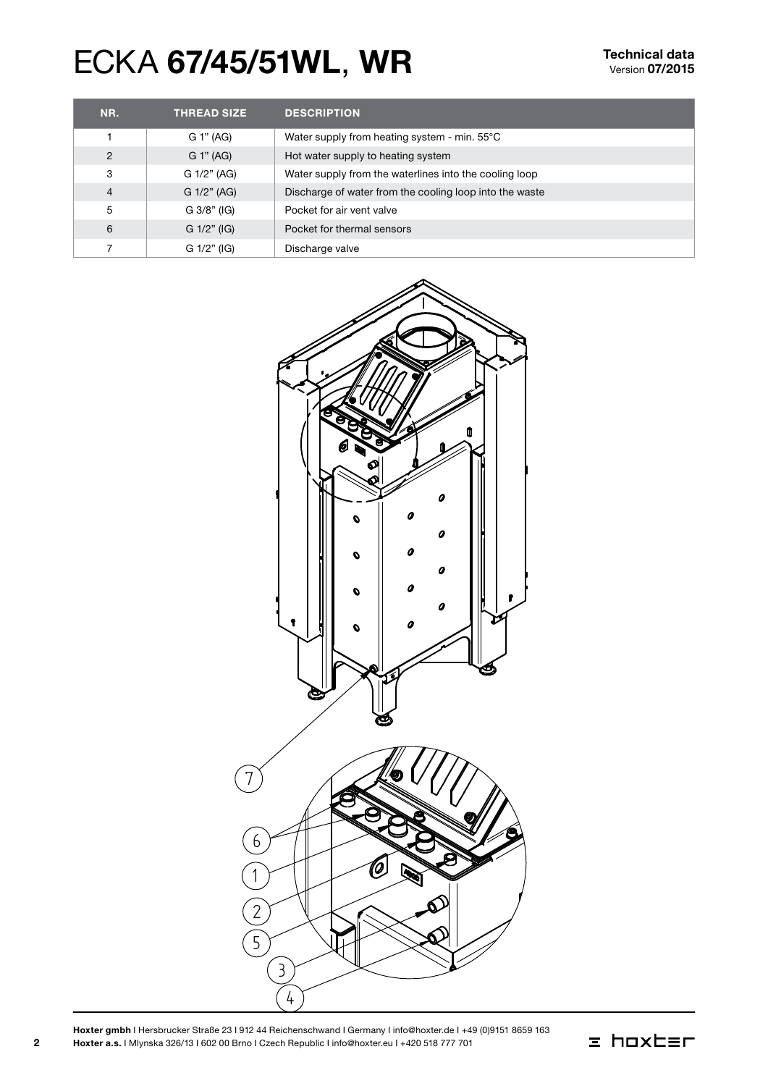# ECKA 67/45/51WL, WR<br>
Version 07/2015

| NR.            | <b>THREAD SIZE</b> | <b>DESCRIPTION</b>                                      |
|----------------|--------------------|---------------------------------------------------------|
|                | G 1" (AG)          | Water supply from heating system - min. 55°C            |
| $\overline{2}$ | G 1" (AG)          | Hot water supply to heating system                      |
| 3              | G 1/2" (AG)        | Water supply from the waterlines into the cooling loop  |
| $\overline{4}$ | G 1/2" (AG)        | Discharge of water from the cooling loop into the waste |
| 5              | $G$ 3/8" (IG)      | Pocket for air vent valve                               |
| 6              | $G$ 1/2" (IG)      | Pocket for thermal sensors                              |
|                | G 1/2" (IG)        | Discharge valve                                         |



Hoxter gmbh I Hersbrucker Straße 23 I 912 44 Reichenschwand I Germany I info@hoxter.de I +49 (0)9151 8659 163 Hoxter a.s. I Mlynska 326/13 I 602 00 Brno I Czech Republic I info@hoxter.eu I +420 518 777 701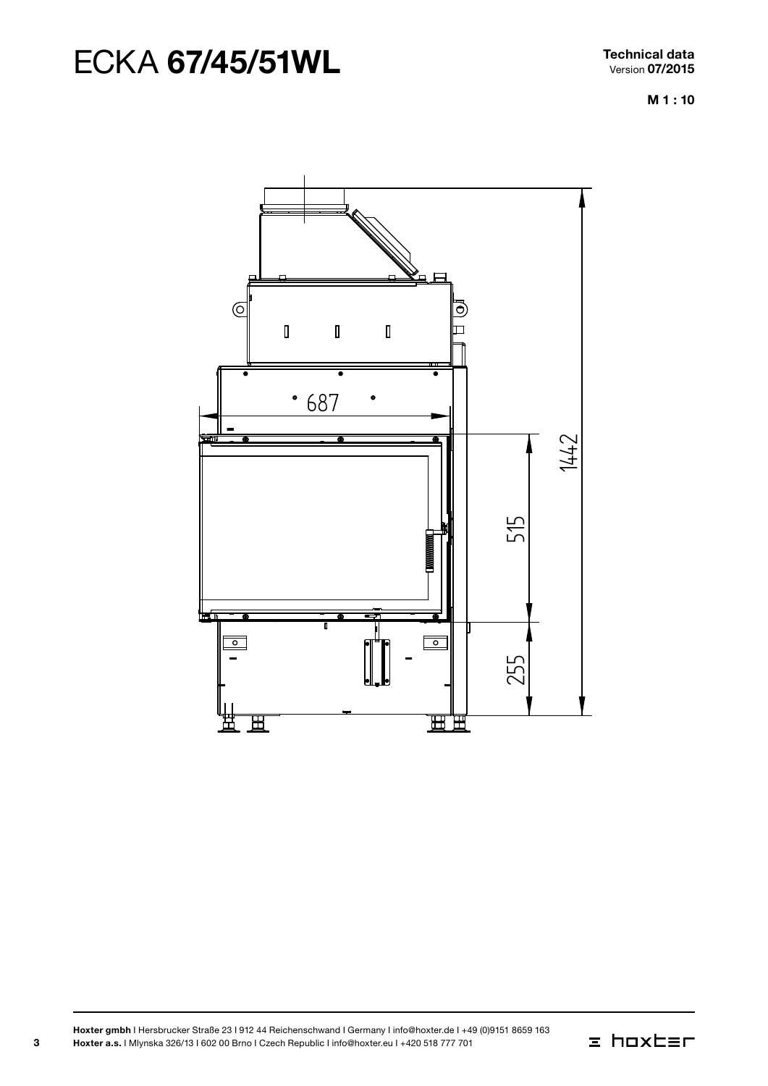# ECKA 67/45/51WL Technical data

M 1 : 10



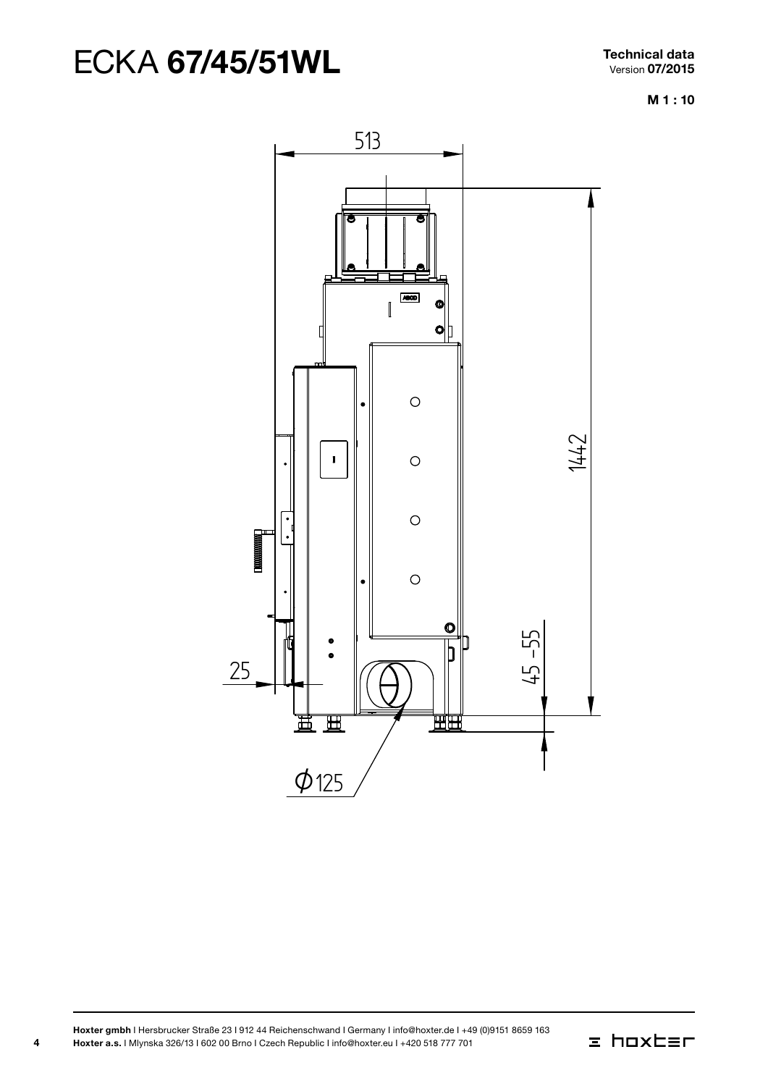M 1 : 10



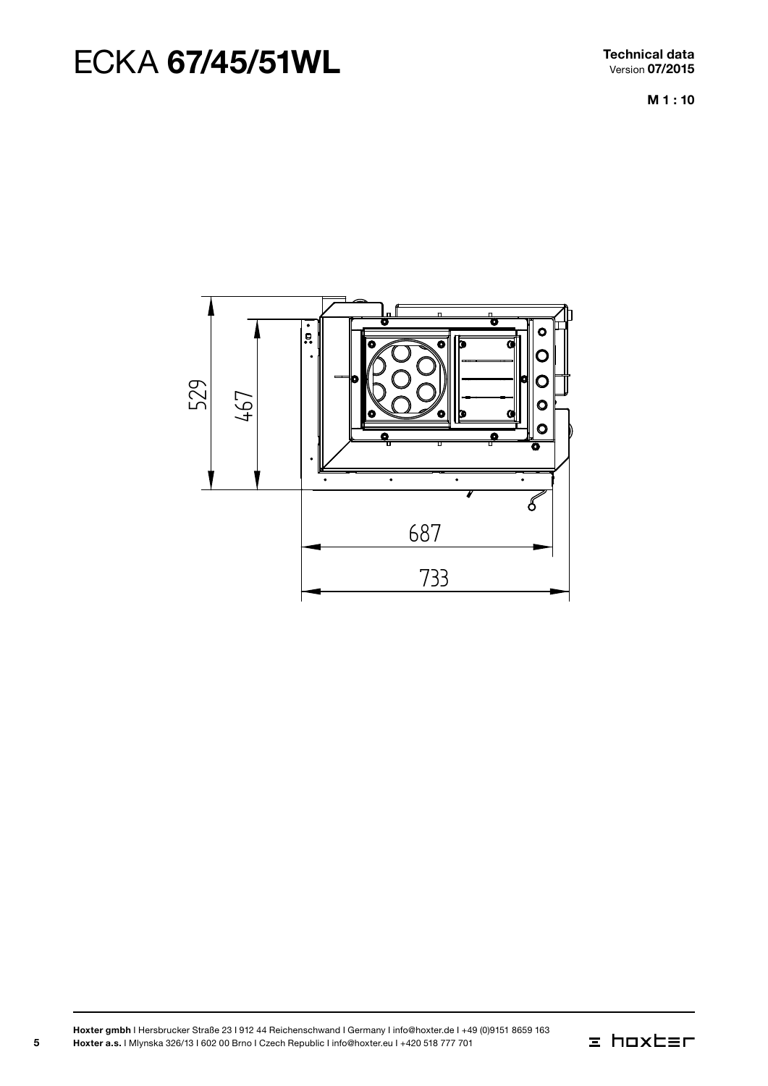Technical data Version 07/2015

M 1 : 10



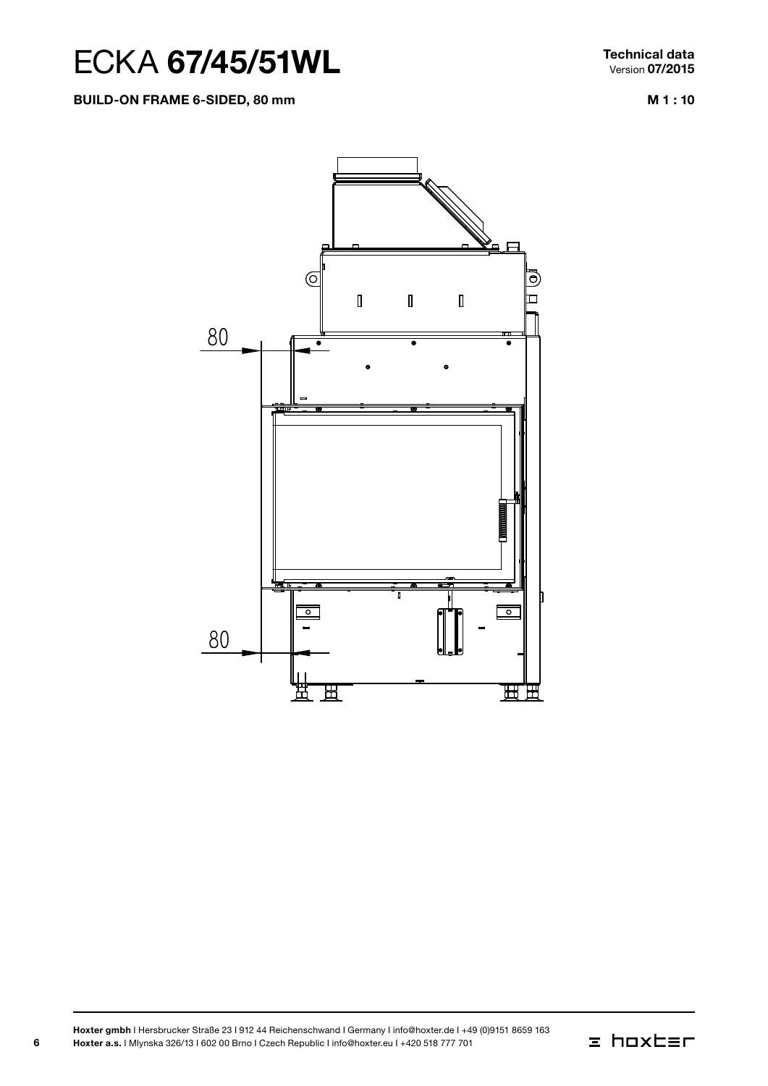Build-on frame 6-sided, 80 mm

Technical data Version 07/2015

M 1 : 10



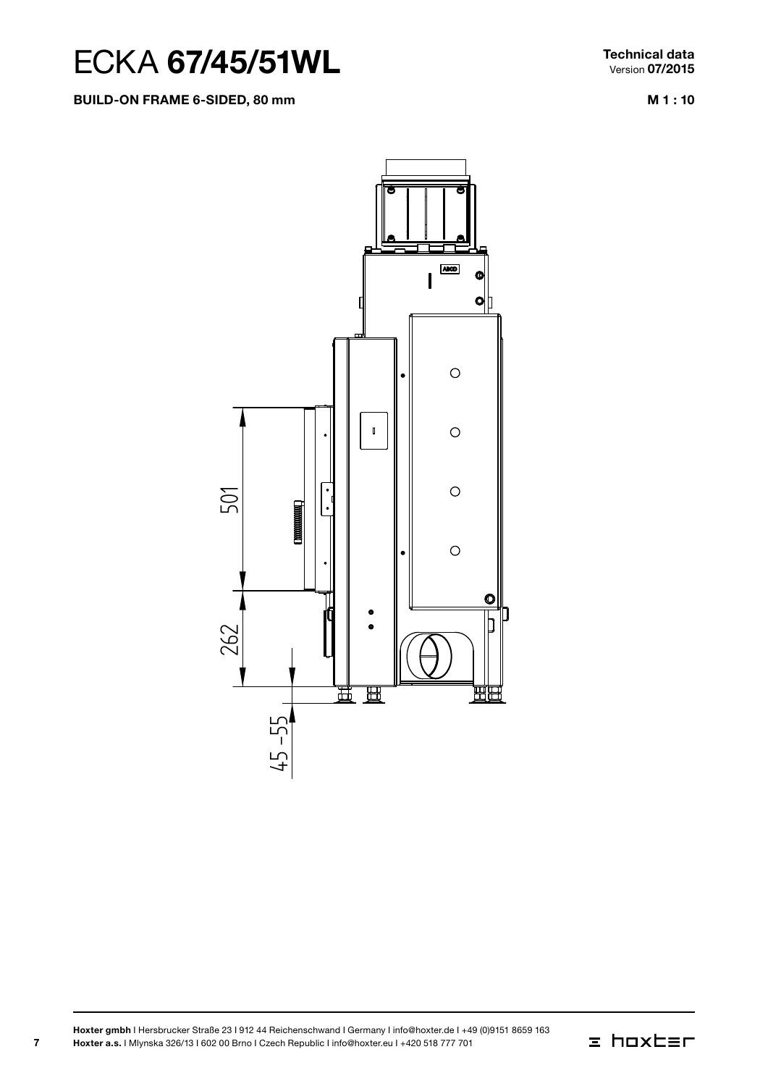#### Build-on frame 6-sided, 80 mm

Technical data Version 07/2015

M 1 : 10